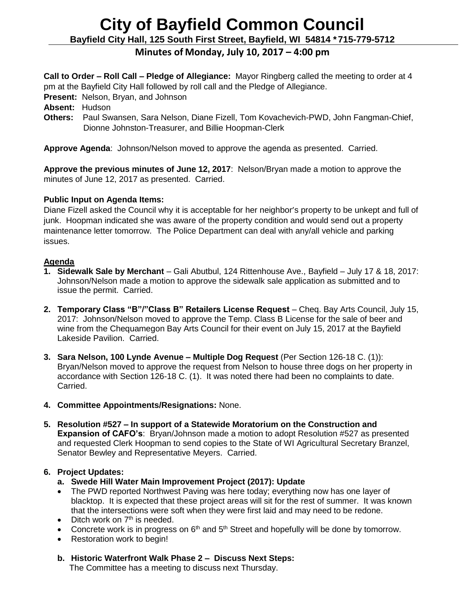# **City of Bayfield Common Council Bayfield City Hall, 125 South First Street, Bayfield, WI 54814 \*715-779-5712**

# **Minutes of Monday, July 10, 2017 – 4:00 pm**

**Call to Order – Roll Call – Pledge of Allegiance:** Mayor Ringberg called the meeting to order at 4 pm at the Bayfield City Hall followed by roll call and the Pledge of Allegiance.

**Present:** Nelson, Bryan, and Johnson

- **Absent:** Hudson
- **Others:** Paul Swansen, Sara Nelson, Diane Fizell, Tom Kovachevich-PWD, John Fangman-Chief, Dionne Johnston-Treasurer, and Billie Hoopman-Clerk

**Approve Agenda**: Johnson/Nelson moved to approve the agenda as presented. Carried.

**Approve the previous minutes of June 12, 2017**: Nelson/Bryan made a motion to approve the minutes of June 12, 2017 as presented. Carried.

## **Public Input on Agenda Items:**

Diane Fizell asked the Council why it is acceptable for her neighbor's property to be unkept and full of junk. Hoopman indicated she was aware of the property condition and would send out a property maintenance letter tomorrow. The Police Department can deal with any/all vehicle and parking issues.

## **Agenda**

- **1. Sidewalk Sale by Merchant** Gali Abutbul, 124 Rittenhouse Ave., Bayfield July 17 & 18, 2017: Johnson/Nelson made a motion to approve the sidewalk sale application as submitted and to issue the permit. Carried.
- **2. Temporary Class "B"/"Class B" Retailers License Request** Cheq. Bay Arts Council, July 15, 2017: Johnson/Nelson moved to approve the Temp. Class B License for the sale of beer and wine from the Chequamegon Bay Arts Council for their event on July 15, 2017 at the Bayfield Lakeside Pavilion. Carried.
- **3. Sara Nelson, 100 Lynde Avenue – Multiple Dog Request** (Per Section 126-18 C. (1)): Bryan/Nelson moved to approve the request from Nelson to house three dogs on her property in accordance with Section 126-18 C. (1). It was noted there had been no complaints to date. Carried.
- **4. Committee Appointments/Resignations:** None.
- **5. Resolution #527 – In support of a Statewide Moratorium on the Construction and Expansion of CAFO's**: Bryan/Johnson made a motion to adopt Resolution #527 as presented and requested Clerk Hoopman to send copies to the State of WI Agricultural Secretary Branzel, Senator Bewley and Representative Meyers. Carried.

# **6. Project Updates:**

- **a. Swede Hill Water Main Improvement Project (2017): Update**
- The PWD reported Northwest Paving was here today; everything now has one layer of blacktop. It is expected that these project areas will sit for the rest of summer. It was known that the intersections were soft when they were first laid and may need to be redone.
- $\bullet$  Ditch work on  $7<sup>th</sup>$  is needed.
- Concrete work is in progress on  $6<sup>th</sup>$  and  $5<sup>th</sup>$  Street and hopefully will be done by tomorrow.
- Restoration work to begin!
- **b. Historic Waterfront Walk Phase 2 – Discuss Next Steps:**

The Committee has a meeting to discuss next Thursday.